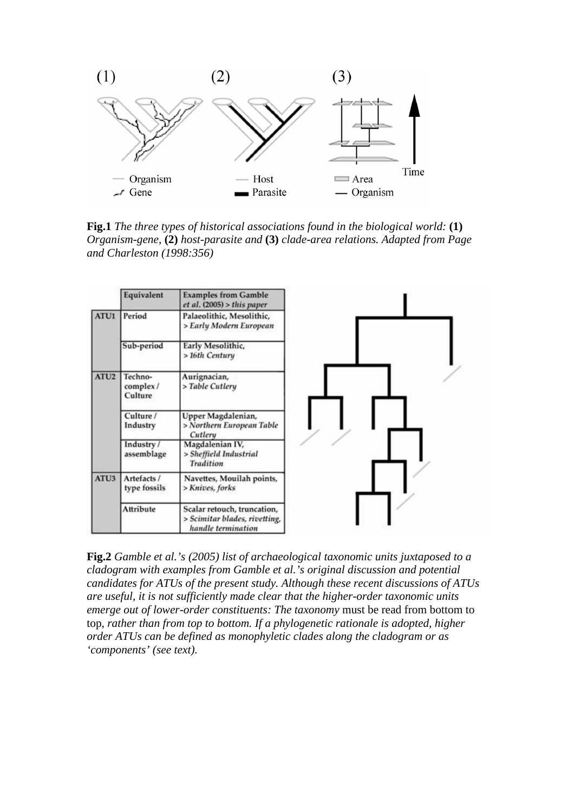

**Fig.1** *The three types of historical associations found in the biological world:* **(1)** *Organism-gene,* **(2)** *host-parasite and* **(3)** *clade-area relations. Adapted from Page and Charleston (1998:356)*

|                  | Equivalent                     | <b>Examples from Gamble</b><br>et al. (2005) > this paper                          |
|------------------|--------------------------------|------------------------------------------------------------------------------------|
| ATU1             | Period                         | Palaeolithic, Mesolithic,<br>> Early Modern European                               |
|                  | Sub-period                     | Early Mesolithic,<br>> 16th Century                                                |
| ATU <sub>2</sub> | Techno-<br>complex/<br>Culture | Aurignacian,<br>> Table Cutlery                                                    |
|                  | Culture /<br>Industry          | Upper Magdalenian,<br>> Northern European Table<br>Cutlery                         |
|                  | Industry /<br>assemblage       | Magdalenian IV,<br>> Sheffield Industrial<br>Tradition                             |
| ATU <sub>3</sub> | Artefacts /<br>type fossils    | Navettes, Mouilah points,<br>> Knives, forks                                       |
|                  | Attribute                      | Scalar retouch, truncation,<br>> Scimitar blades, rivetting,<br>handle termination |

**Fig.2** *Gamble et al.'s (2005) list of archaeological taxonomic units juxtaposed to a cladogram with examples from Gamble et al.'s original discussion and potential candidates for ATUs of the present study. Although these recent discussions of ATUs are useful, it is not sufficiently made clear that the higher-order taxonomic units emerge out of lower-order constituents: The taxonomy* must be read from bottom to top*, rather than from top to bottom. If a phylogenetic rationale is adopted, higher order ATUs can be defined as monophyletic clades along the cladogram or as 'components' (see text).*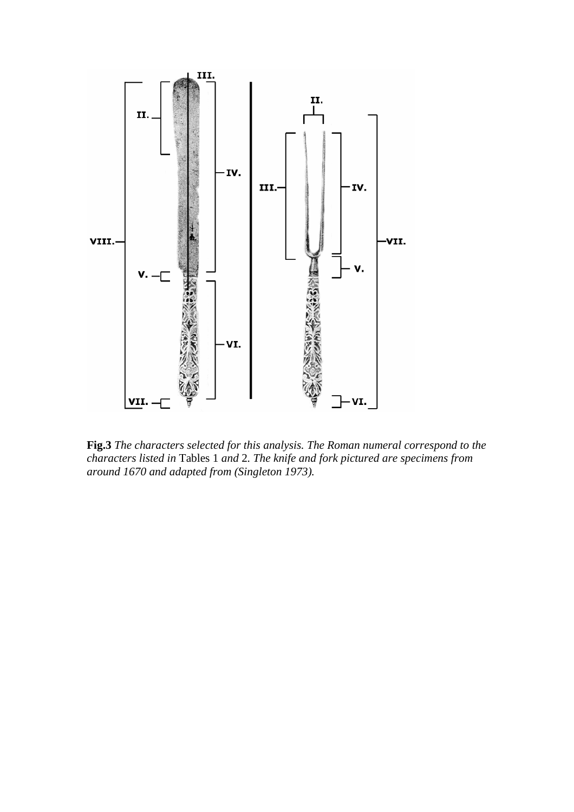

**Fig.3** *The characters selected for this analysis. The Roman numeral correspond to the characters listed in* Tables 1 *and* 2*. The knife and fork pictured are specimens from around 1670 and adapted from (Singleton 1973).*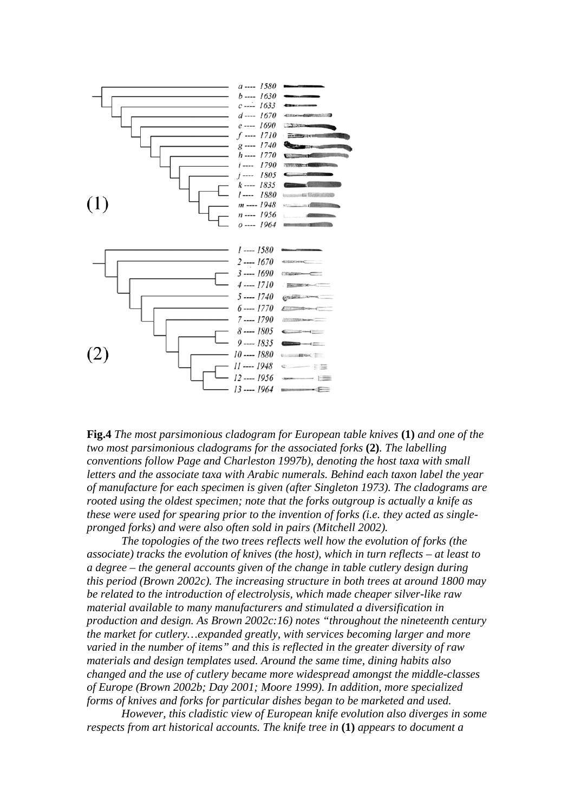

**Fig.4** *The most parsimonious cladogram for European table knives* **(1)** *and one of the two most parsimonious cladograms for the associated forks* **(2)***. The labelling conventions follow Page and Charleston 1997b), denoting the host taxa with small letters and the associate taxa with Arabic numerals. Behind each taxon label the year of manufacture for each specimen is given (after Singleton 1973). The cladograms are rooted using the oldest specimen; note that the forks outgroup is actually a knife as these were used for spearing prior to the invention of forks (i.e. they acted as singlepronged forks) and were also often sold in pairs (Mitchell 2002).*

*The topologies of the two trees reflects well how the evolution of forks (the associate) tracks the evolution of knives (the host), which in turn reflects – at least to a degree – the general accounts given of the change in table cutlery design during this period (Brown 2002c). The increasing structure in both trees at around 1800 may be related to the introduction of electrolysis, which made cheaper silver-like raw material available to many manufacturers and stimulated a diversification in production and design. As Brown 2002c:16) notes "throughout the nineteenth century the market for cutlery…expanded greatly, with services becoming larger and more varied in the number of items" and this is reflected in the greater diversity of raw materials and design templates used. Around the same time, dining habits also changed and the use of cutlery became more widespread amongst the middle-classes of Europe (Brown 2002b; Day 2001; Moore 1999). In addition, more specialized forms of knives and forks for particular dishes began to be marketed and used.*

*However, this cladistic view of European knife evolution also diverges in some respects from art historical accounts. The knife tree in* **(1)** *appears to document a*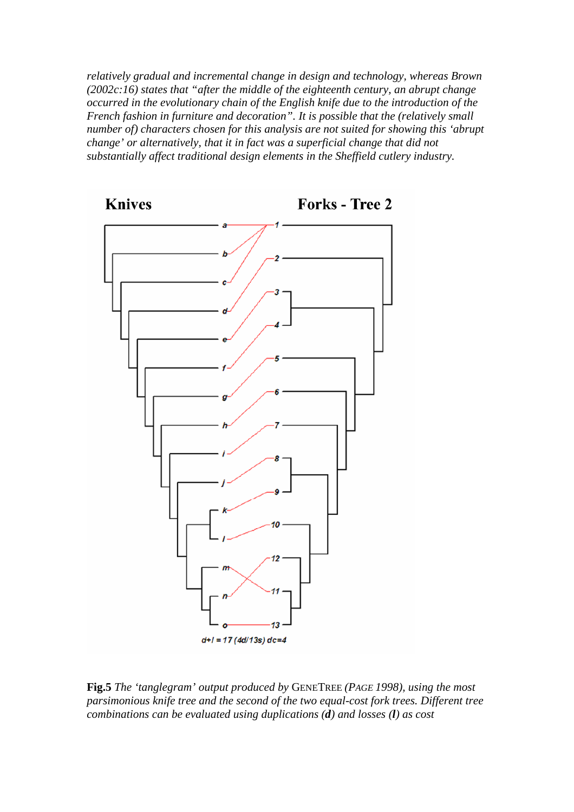*relatively gradual and incremental change in design and technology, whereas Brown (2002c:16) states that "after the middle of the eighteenth century, an abrupt change occurred in the evolutionary chain of the English knife due to the introduction of the French fashion in furniture and decoration". It is possible that the (relatively small number of) characters chosen for this analysis are not suited for showing this 'abrupt change' or alternatively, that it in fact was a superficial change that did not substantially affect traditional design elements in the Sheffield cutlery industry.*